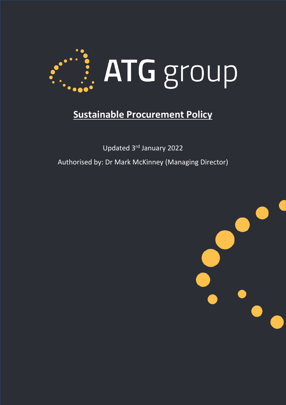

## **Sustainable Procurement Policy**

Updated 3rd January 2022 Authorised by: Dr Mark McKinney (Managing Director)